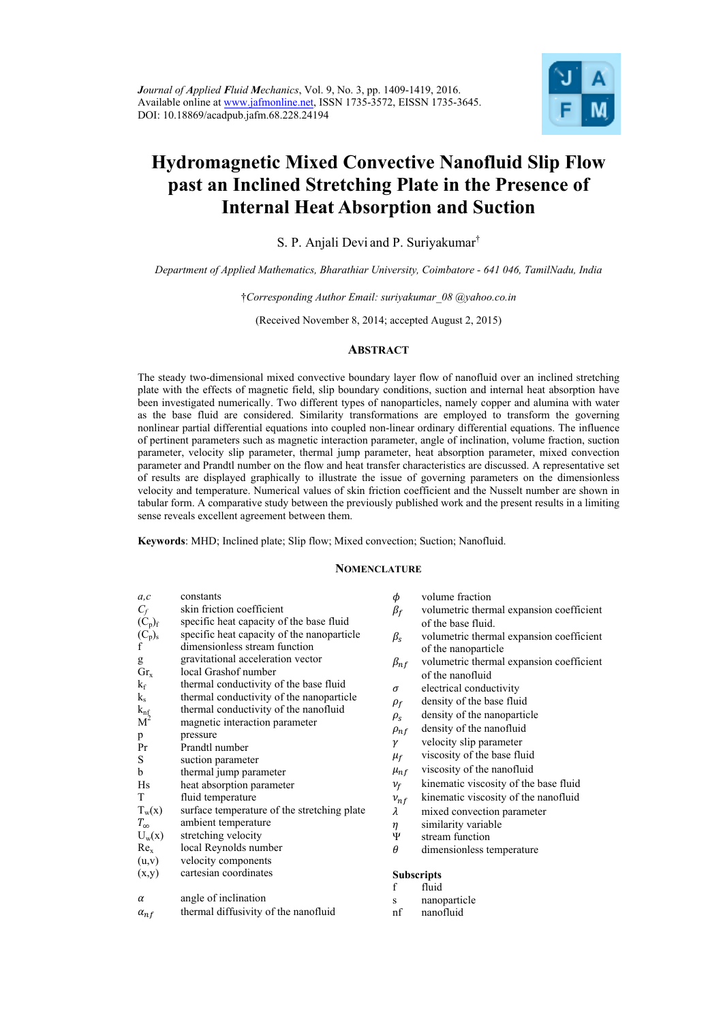

# **Hydromagnetic Mixed Convective Nanofluid Slip Flow past an Inclined Stretching Plate in the Presence of Internal Heat Absorption and Suction**

S. P. Anjali Devi and P. Suriyakumar†

*Department of Applied Mathematics, Bharathiar University, Coimbatore - 641 046, TamilNadu, India* 

†*Corresponding Author Email: suriyakumar\_08 @yahoo.co.in* 

(Received November 8, 2014; accepted August 2, 2015)

## **ABSTRACT**

The steady two-dimensional mixed convective boundary layer flow of nanofluid over an inclined stretching plate with the effects of magnetic field, slip boundary conditions, suction and internal heat absorption have been investigated numerically. Two different types of nanoparticles, namely copper and alumina with water as the base fluid are considered. Similarity transformations are employed to transform the governing nonlinear partial differential equations into coupled non-linear ordinary differential equations. The influence of pertinent parameters such as magnetic interaction parameter, angle of inclination, volume fraction, suction parameter, velocity slip parameter, thermal jump parameter, heat absorption parameter, mixed convection parameter and Prandtl number on the flow and heat transfer characteristics are discussed. A representative set of results are displayed graphically to illustrate the issue of governing parameters on the dimensionless velocity and temperature. Numerical values of skin friction coefficient and the Nusselt number are shown in tabular form. A comparative study between the previously published work and the present results in a limiting sense reveals excellent agreement between them.

**Keywords**: MHD; Inclined plate; Slip flow; Mixed convection; Suction; Nanofluid.

## **NOMENCLATURE**

| a, c                    | constants                                   | φ                              | volume fraction                          |
|-------------------------|---------------------------------------------|--------------------------------|------------------------------------------|
| $C_f$                   | skin friction coefficient                   | $\beta_f$                      | volumetric thermal expansion coefficient |
| $(C_p)_f$               | specific heat capacity of the base fluid    |                                | of the base fluid.                       |
| $\underset{f}{(C_p)_s}$ | specific heat capacity of the nanoparticle  | $\beta_{\scriptscriptstyle S}$ | volumetric thermal expansion coefficient |
|                         | dimensionless stream function               |                                | of the nanoparticle                      |
| g                       | gravitational acceleration vector           | $\beta_{nf}$                   | volumetric thermal expansion coefficient |
| $Gr_x$                  | local Grashof number                        |                                | of the nanofluid                         |
| $k_f$                   | thermal conductivity of the base fluid      | σ                              | electrical conductivity                  |
| $k_{s}$                 | thermal conductivity of the nanoparticle    | $\rho_f$                       | density of the base fluid                |
| $k_{\text{nf}}$         | thermal conductivity of the nanofluid       | $\rho_{\rm s}$                 | density of the nanoparticle              |
| M <sup>2</sup>          | magnetic interaction parameter              | $\rho_{nf}$                    | density of the nanofluid                 |
| p                       | pressure<br>Prandtl number                  | γ                              | velocity slip parameter                  |
| Pr<br>S                 |                                             | $\mu_f$                        | viscosity of the base fluid              |
| b                       | suction parameter<br>thermal jump parameter | $\mu_{nf}$                     | viscosity of the nanofluid               |
| Hs                      | heat absorption parameter                   | $v_f$                          | kinematic viscosity of the base fluid    |
| T                       | fluid temperature                           |                                | kinematic viscosity of the nanofluid     |
| $T_w(x)$                | surface temperature of the stretching plate | $v_{nf}$<br>λ                  | mixed convection parameter               |
| $T_{\infty}$            | ambient temperature                         | η                              | similarity variable                      |
| $U_w(x)$                | stretching velocity                         | Ψ                              | stream function                          |
| Re <sub>x</sub>         | local Reynolds number                       | $\theta$                       | dimensionless temperature                |
| (u,v)                   | velocity components                         |                                |                                          |
| (x,y)                   | cartesian coordinates                       |                                | <b>Subscripts</b>                        |
|                         |                                             | f                              | fluid                                    |
| $\alpha$                | angle of inclination                        | S                              | nanoparticle                             |
| $\alpha_{n,f}$          | thermal diffusivity of the nanofluid        | nf                             | nanofluid                                |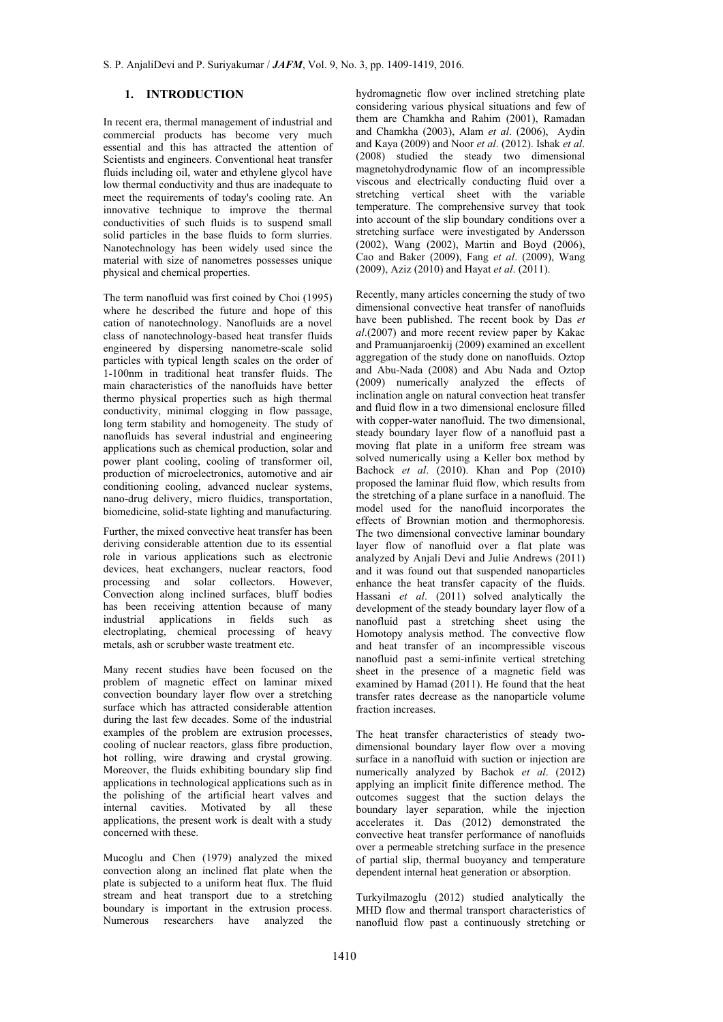# **1. INTRODUCTION**

In recent era, thermal management of industrial and commercial products has become very much essential and this has attracted the attention of Scientists and engineers. Conventional heat transfer fluids including oil, water and ethylene glycol have low thermal conductivity and thus are inadequate to meet the requirements of today's cooling rate. An innovative technique to improve the thermal conductivities of such fluids is to suspend small solid particles in the base fluids to form slurries. Nanotechnology has been widely used since the material with size of nanometres possesses unique physical and chemical properties.

The term nanofluid was first coined by Choi (1995) where he described the future and hope of this cation of nanotechnology. Nanofluids are a novel class of nanotechnology-based heat transfer fluids engineered by dispersing nanometre-scale solid particles with typical length scales on the order of 1-100nm in traditional heat transfer fluids. The main characteristics of the nanofluids have better thermo physical properties such as high thermal conductivity, minimal clogging in flow passage, long term stability and homogeneity. The study of nanofluids has several industrial and engineering applications such as chemical production, solar and power plant cooling, cooling of transformer oil, production of microelectronics, automotive and air conditioning cooling, advanced nuclear systems, nano-drug delivery, micro fluidics, transportation, biomedicine, solid-state lighting and manufacturing.

Further, the mixed convective heat transfer has been deriving considerable attention due to its essential role in various applications such as electronic devices, heat exchangers, nuclear reactors, food processing and solar collectors. However, Convection along inclined surfaces, bluff bodies has been receiving attention because of many industrial applications in fields such as electroplating, chemical processing of heavy metals, ash or scrubber waste treatment etc.

Many recent studies have been focused on the problem of magnetic effect on laminar mixed convection boundary layer flow over a stretching surface which has attracted considerable attention during the last few decades. Some of the industrial examples of the problem are extrusion processes, cooling of nuclear reactors, glass fibre production, hot rolling, wire drawing and crystal growing. Moreover, the fluids exhibiting boundary slip find applications in technological applications such as in the polishing of the artificial heart valves and internal cavities. Motivated by all these applications, the present work is dealt with a study concerned with these.

Mucoglu and Chen (1979) analyzed the mixed convection along an inclined flat plate when the plate is subjected to a uniform heat flux. The fluid stream and heat transport due to a stretching boundary is important in the extrusion process. Numerous researchers have analyzed the

hydromagnetic flow over inclined stretching plate considering various physical situations and few of them are Chamkha and Rahim (2001), Ramadan and Chamkha (2003), Alam *et al*. (2006), Aydin and Kaya (2009) and Noor *et al*. (2012). Ishak *et al*. (2008) studied the steady two dimensional magnetohydrodynamic flow of an incompressible viscous and electrically conducting fluid over a stretching vertical sheet with the variable temperature. The comprehensive survey that took into account of the slip boundary conditions over a stretching surface were investigated by Andersson (2002), Wang (2002), Martin and Boyd (2006), Cao and Baker (2009), Fang *et al*. (2009), Wang (2009), Aziz (2010) and Hayat *et al*. (2011).

Recently, many articles concerning the study of two dimensional convective heat transfer of nanofluids have been published. The recent book by Das *et al*.(2007) and more recent review paper by Kakac and Pramuanjaroenkij (2009) examined an excellent aggregation of the study done on nanofluids. Oztop and Abu-Nada (2008) and Abu Nada and Oztop (2009) numerically analyzed the effects of inclination angle on natural convection heat transfer and fluid flow in a two dimensional enclosure filled with copper-water nanofluid. The two dimensional, steady boundary layer flow of a nanofluid past a moving flat plate in a uniform free stream was solved numerically using a Keller box method by Bachock *et al*. (2010). Khan and Pop (2010) proposed the laminar fluid flow, which results from the stretching of a plane surface in a nanofluid. The model used for the nanofluid incorporates the effects of Brownian motion and thermophoresis. The two dimensional convective laminar boundary layer flow of nanofluid over a flat plate was analyzed by Anjali Devi and Julie Andrews (2011) and it was found out that suspended nanoparticles enhance the heat transfer capacity of the fluids. Hassani *et al*. (2011) solved analytically the development of the steady boundary layer flow of a nanofluid past a stretching sheet using the Homotopy analysis method. The convective flow and heat transfer of an incompressible viscous nanofluid past a semi-infinite vertical stretching sheet in the presence of a magnetic field was examined by Hamad (2011). He found that the heat transfer rates decrease as the nanoparticle volume fraction increases.

The heat transfer characteristics of steady twodimensional boundary layer flow over a moving surface in a nanofluid with suction or injection are numerically analyzed by Bachok *et al*. (2012) applying an implicit finite difference method. The outcomes suggest that the suction delays the boundary layer separation, while the injection accelerates it. Das (2012) demonstrated the convective heat transfer performance of nanofluids over a permeable stretching surface in the presence of partial slip, thermal buoyancy and temperature dependent internal heat generation or absorption.

Turkyilmazoglu (2012) studied analytically the MHD flow and thermal transport characteristics of nanofluid flow past a continuously stretching or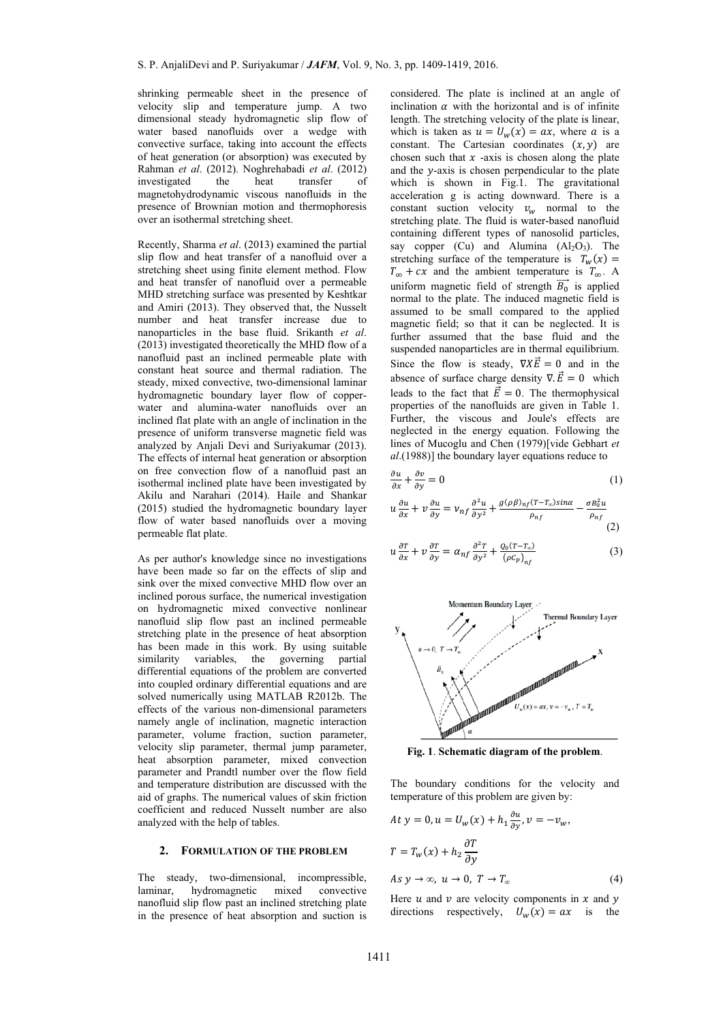shrinking permeable sheet in the presence of velocity slip and temperature jump. A two dimensional steady hydromagnetic slip flow of water based nanofluids over a wedge with convective surface, taking into account the effects of heat generation (or absorption) was executed by Rahman et al. (2012). Noghrehabadi et al. (2012) investigated magnetohydrodynamic viscous nanofluids in the presence of Brownian motion and thermophoresis over an isothermal stretching sheet. the he eat transfer of

Recently, Sharma et al. (2013) examined the partial slip flow and heat transfer of a nanofluid over a stretching sheet using finite element method. Flow and heat transfer of nanofluid over a permeable MHD stretch ing surface was s presented by Keshtkar and Amiri (2013). They observed that, the Nusselt number and heat transfer increase due to nanoparticles in the base fluid. Srikanth et al. (2013) investigated theoretically the MHD flow of a nanofluid past an inclined permeable plate with constant heat source and thermal radiation. The steady, mixed convective, two-dimensional laminar hydromagnetic boundary layer flow of copperwater and alumina-water nanofluids over an inclined flat plate with an angle of inclination in the presence of uniform transverse magnetic field was analyzed by Anjali Devi and Suriyakumar (2013). The effects of internal heat generation or absorption on free convection flow of a nanofluid past an isothermal inclined plate have been investigated by Akilu and N Narahari (2014 4). Haile and Shankar (2015) studied the hydromagnetic boundary layer flow of water based nanofluids over a moving permeable flat plate.

As per author's knowledge since no investigations have been made so far on the effects of slip and sink over the mixed convective MHD flow over an inclined porous surface, the numerical investigation on hydroma agnetic mixed convective n nonlinear nanofluid slip flow past an inclined permeable stretching plate in the presence of heat absorption has been made in this work. By using suitable similarity variables, the governing partial differential equations of the problem are converted into coupled ordinary differential equations and are solved numerically using MATLAB R2012b. The effects of the various non-dimensional parameters namely angle of inclination, magnetic interaction parameter, volume fraction, suction parameter, velocity slip parameter, thermal jump parameter, heat absorption parameter, mixed convection parameter and Prandtl number over the flow field and temperature distribution are discussed with the aid of graphs. The numerical values of skin friction coefficient and reduced Nusselt number are also analyzed with the help of tables.

#### 2. FORMULATION OF THE PROBLEM

The steady, two-dimensional, incompressible, laminar nanofluid slip flow past an inclined stretching plate in the presence of heat absorption and suction is hydromagnetic mixed onvective

considered. The plate is inclined at an angle of inclination  $\alpha$  with the horizontal and is of infinite length. The stretching velocity of the plate is linear, which is taken as  $u = U_w(x) = ax$ , where a is a constant. The Cartesian coordinates  $(x, y)$  are chosen such that  $x$  -axis is chosen along the plate and the y-axis is chosen perpendicular to the plate which is shown in Fig.1. The gravitational acceleration g is acting downward. There is a constant suction velocity  $v_w$  normal to the stretching plate. The fluid is water-based nanofluid containing different types of nanosolid particles, say copper  $(Cu)$  and Alumina  $(Al_2O_3)$ . The stretching surface of the temperature is  $T_w(x) =$  $T_{\infty} + cx$  and the ambient temperature is  $T_{\infty}$ . A uniform magnetic field of strength  $\overrightarrow{B_0}$  is applied normal to the plate. The induced magnetic field is a assumed to b e small comp pared to the applied magnetic field; so that it can be neglected. It is further assumed that the base fluid and the suspended nanoparticles are in thermal equilibrium. Since the flow is steady,  $\nabla X \vec{E} = 0$  and in the absence of surface charge density  $\nabla \cdot \vec{E} = 0$  which leads to the fact that  $\vec{E} = 0$ . The thermophysical properties of the nanofluids are given in Table 1. Further, the viscous and Joule's effects are neglected in the energy equation. Following the lines of Mucoglu and Chen (1979)[vide Gebhart et al.(1988)] the boundary layer equations reduce to

$$
\frac{\partial u}{\partial x} + \frac{\partial v}{\partial y} = 0\tag{1}
$$

$$
u\frac{\partial u}{\partial x} + v\frac{\partial u}{\partial y} = v_{nf}\frac{\partial^2 u}{\partial y^2} + \frac{g(\rho\beta)_{nf}(T - T_{\infty})\sin\alpha}{\rho_{nf}} - \frac{\sigma B_0^2 u}{\rho_{nf}}\tag{2}
$$

$$
u\frac{\partial T}{\partial x} + v\frac{\partial T}{\partial y} = \alpha_{nf}\frac{\partial^2 T}{\partial y^2} + \frac{Q_0(T - T_{\infty})}{(\rho c_p)_{nf}}
$$
(3)



Fig. 1. Schematic diagram of the problem.

The boundary conditions for the velocity and temperature of this problem are given by:

$$
At y = 0, u = U_w(x) + h_1 \frac{\partial u}{\partial y}, v = -v_w,
$$
  
\n
$$
T = T_w(x) + h_2 \frac{\partial T}{\partial y}
$$
  
\n
$$
As y \to \infty, u \to 0, T \to T_\infty
$$
 (4)  
\nHere u and v are velocity components in x and y

Here *u* and *v* are velocity components in *x* and *y* directions respectively,  $U_w(x) = ax$  is the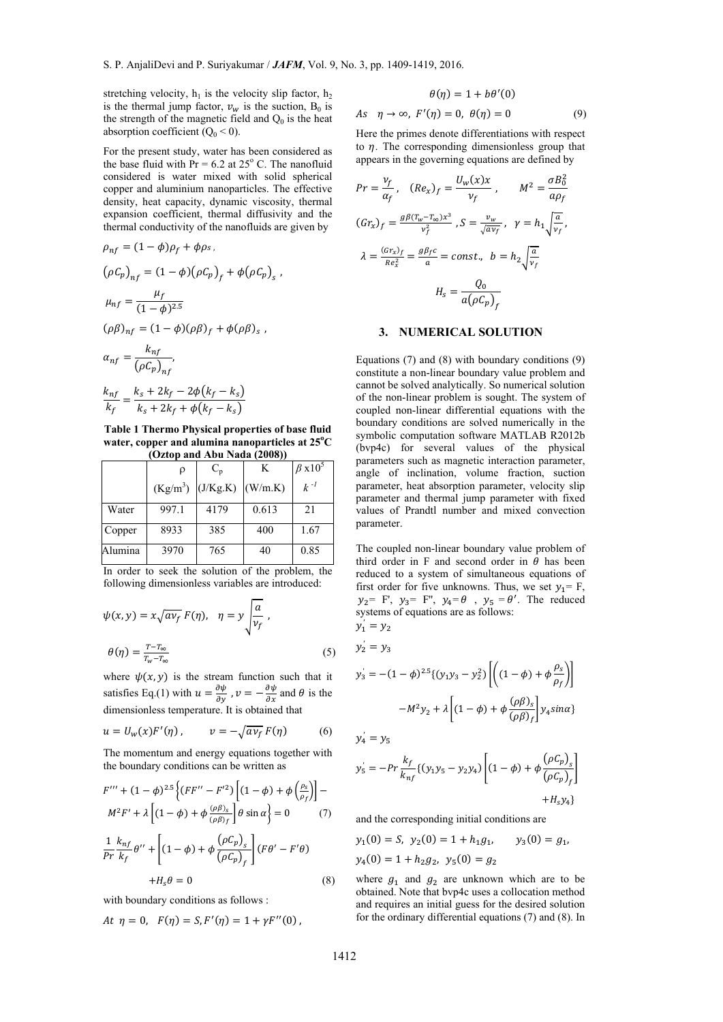$As$ 

stretching velocity,  $h_1$  is the velocity slip factor,  $h_2$ is the thermal jump factor,  $v_w$  is the suction,  $B_0$  is the strength of the magnetic field and  $Q_0$  is the heat absorption coefficient  $(Q_0 < 0)$ .

For the present study, water has been considered as the base fluid with  $Pr = 6.2$  at 25 $\degree$  C. The nanofluid considered is water mixed with solid spherical copper and aluminium nanoparticles. The effective density, heat capacity, dynamic viscosity, thermal expansion coefficient, thermal diffusivity and the thermal conductivity of the nanofluids are given by

$$
\rho_{nf} = (1 - \phi)\rho_f + \phi \rho_s,
$$
  
\n
$$
(\rho C_p)_{nf} = (1 - \phi)(\rho C_p)_f + \phi(\rho C_p)_s,
$$
  
\n
$$
\mu_{nf} = \frac{\mu_f}{(1 - \phi)^{2.5}}
$$
  
\n
$$
(\rho \beta)_{nf} = (1 - \phi)(\rho \beta)_f + \phi(\rho \beta)_s,
$$
  
\n
$$
\alpha_{nf} = \frac{k_{nf}}{(\rho C_p)_{nf}},
$$
  
\n
$$
\frac{k_{nf}}{k_f} = \frac{k_s + 2k_f - 2\phi(k_f - k_s)}{k_s + 2k_f + \phi(k_f - k_s)}
$$

 $k_s + 2k_f + \phi(k_f - k_s)$ **Table 1 Thermo Physical properties of base fluid water, copper and alumina nanoparticles at 25o C** 

| (Oztop and Abu Nada (2008)) |            |          |         |                           |
|-----------------------------|------------|----------|---------|---------------------------|
|                             |            | $C_{n}$  | K       | $\beta$ x 10 <sup>5</sup> |
|                             | $(Kg/m^3)$ | (J/Kg.K) | (W/m.K) | $k -1$                    |
| Water                       | 997.1      | 4179     | 0.613   | 21                        |
| Copper                      | 8933       | 385      | 400     | 1.67                      |
| Alumina                     | 3970       | 765      | 40      | 0.85                      |

In order to seek the solution of the problem, the following dimensionless variables are introduced:

$$
\psi(x, y) = x\sqrt{av_f} F(\eta), \quad \eta = y \sqrt{\frac{a}{v_f}},
$$

$$
\theta(\eta) = \frac{T - T_{\infty}}{T_w - T_{\infty}}
$$
(5)

where  $\psi(x, y)$  is the stream function such that it satisfies Eq.(1) with  $u = \frac{\partial \psi}{\partial y}$ ,  $v = -\frac{\partial \psi}{\partial x}$  and  $\theta$  is the dimensionless temperature. It is obtained that

$$
u = U_w(x)F'(\eta), \qquad v = -\sqrt{av_f} F(\eta) \tag{6}
$$

The momentum and energy equations together with the boundary conditions can be written as

$$
F''' + (1 - \phi)^{2.5} \left\{ (F F'' - F'^2) \left[ (1 - \phi) + \phi \left( \frac{\rho_s}{\rho_f} \right) \right] -
$$
  

$$
M^2 F' + \lambda \left[ (1 - \phi) + \phi \frac{(\rho \beta)_s}{(\rho \beta)_f} \right] \theta \sin \alpha \right\} = 0 \qquad (7)
$$
  

$$
1 k_{nf} \alpha' \left[ (1 - \phi) + \phi \left( \frac{\rho C_p}{\rho} \right)_s \right] (F \alpha' - F' \alpha')
$$

$$
\frac{1}{Pr} \frac{k_{nf}}{k_f} \theta'' + \left[ (1 - \phi) + \phi \frac{(\rho C_p)_s}{(\rho C_p)_f} \right] (F\theta' - F'\theta) \n+ H_s \theta = 0
$$
\n(8)

with boundary conditions as follows :

At 
$$
\eta = 0
$$
,  $F(\eta) = S$ ,  $F'(\eta) = 1 + \gamma F''(0)$ ,

$$
\theta(\eta) = 1 + b\theta'(0)
$$
  

$$
\eta \to \infty, \ F'(\eta) = 0, \ \theta(\eta) = 0 \tag{9}
$$

Here the primes denote differentiations with respect to  $\eta$ . The corresponding dimensionless group that appears in the governing equations are defined by

$$
Pr = \frac{v_f}{\alpha_f}, \quad (Re_x)_f = \frac{U_w(x)x}{v_f}, \qquad M^2 = \frac{\sigma B_0^2}{a\rho_f}
$$

$$
(Gr_x)_f = \frac{g\beta(v_w - r_\infty)x^3}{v_f^2}, \quad S = \frac{v_w}{\sqrt{av_f}}, \quad \gamma = h_1 \sqrt{\frac{a}{v_f}},
$$

$$
\lambda = \frac{(Gr_x)_f}{Re_x^2} = \frac{g\beta_f c}{a} = const., \quad b = h_2 \sqrt{\frac{a}{v_f}}
$$

$$
H_s = \frac{Q_0}{a(\rho C_p)_f}
$$

#### **3. NUMERICAL SOLUTION**

Equations (7) and (8) with boundary conditions (9) constitute a non-linear boundary value problem and cannot be solved analytically. So numerical solution of the non-linear problem is sought. The system of coupled non-linear differential equations with the boundary conditions are solved numerically in the symbolic computation software MATLAB R2012b (bvp4c) for several values of the physical parameters such as magnetic interaction parameter, angle of inclination, volume fraction, suction parameter, heat absorption parameter, velocity slip parameter and thermal jump parameter with fixed values of Prandtl number and mixed convection parameter.

The coupled non-linear boundary value problem of third order in F and second order in  $\theta$  has been reduced to a system of simultaneous equations of first order for five unknowns. Thus, we set  $y_1 = F$ ,  $y_2$ = F',  $y_3$ = F'',  $y_4$ =  $\theta$ ,  $y_5$  =  $\theta'$ . The reduced systems of equations are as follows:  $y_1' = y_2$ 

$$
y'_{2} = y_{3}
$$
  

$$
y'_{3} = -(1 - \phi)^{2.5} \{ (y_{1}y_{3} - y_{2}^{2}) \left[ \left( (1 - \phi) + \phi \frac{\rho_{s}}{\rho_{f}} \right) \right]
$$

$$
-M^{2}y_{2} + \lambda \left[ (1 - \phi) + \phi \frac{(\rho \beta)_{s}}{(\rho \beta)_{f}} \right] y_{4} \sin \alpha \}
$$

$$
y_4^{'}=y_5
$$

$$
y'_{5} = -Pr \frac{k_{f}}{k_{nf}} \{ (y_{1}y_{5} - y_{2}y_{4}) \left[ (1 - \phi) + \phi \frac{(\rho C_{p})_{s}}{(\rho C_{p})_{f}} \right] + H_{s}y_{4} \}
$$

and the corresponding initial conditions are

$$
y_1(0) = S
$$
,  $y_2(0) = 1 + h_1 g_1$ ,  $y_3(0) = g_1$ ,  
 $y_4(0) = 1 + h_2 g_2$ ,  $y_5(0) = g_2$ 

where  $g_1$  and  $g_2$  are unknown which are to be obtained. Note that bvp4c uses a collocation method and requires an initial guess for the desired solution for the ordinary differential equations (7) and (8). In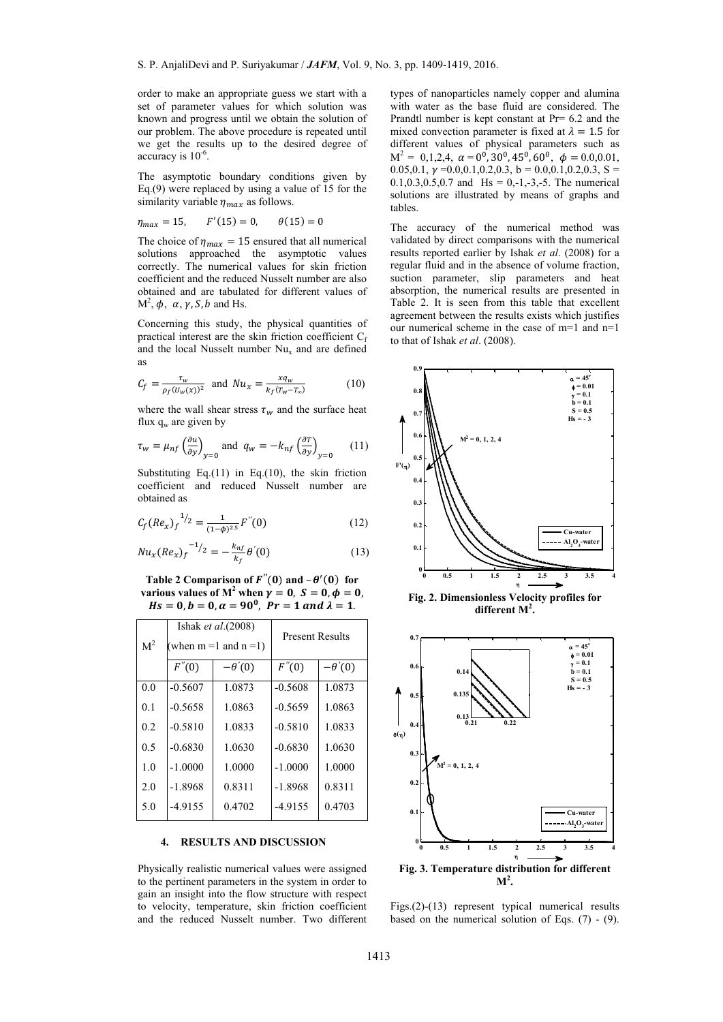order to make an appropriate guess we start with a set of parameter values for which solution was known and progress until we obtain the solution of our problem. The above procedure is repeated until we get the results up to the desired degree of accuracy is  $10^{-6}$ .

The asymptotic boundary conditions given by Eq.(9) were replaced by using a value of 15 for the similarity variable  $\eta_{max}$  as follows.

$$
\eta_{max} = 15, \qquad F'(15) = 0, \qquad \theta(15) = 0
$$

The choice of  $\eta_{max} = 15$  ensured that all numerical solutions approached the asymptotic values correctly. The numerical values for skin friction coefficient and the reduced Nusselt number are also obtained and are tabulated for different values of  $M^2$ ,  $\phi$ ,  $\alpha$ ,  $\gamma$ ,  $S$ ,  $b$  and Hs.

Concerning this study, the physical quantities of practical interest are the skin friction coefficient  $C_f$ and the local Nusselt number  $Nu_x$  and are defined as

$$
C_f = \frac{\tau_w}{\rho_f (U_w(x))^2} \quad \text{and} \quad Nu_x = \frac{xq_w}{k_f (T_w - T_\infty)} \tag{10}
$$

where the wall shear stress  $\tau_w$  and the surface heat flux  $q_w$  are given by

$$
\tau_w = \mu_{nf} \left(\frac{\partial u}{\partial y}\right)_{y=0} \text{ and } q_w = -k_{nf} \left(\frac{\partial T}{\partial y}\right)_{y=0} \tag{11}
$$

Substituting Eq. $(11)$  in Eq. $(10)$ , the skin friction coefficient and reduced Nusselt number are obtained as

$$
C_f (Re_x)_f^{-1/2} = \frac{1}{(1-\phi)^{2.5}} F''(0)
$$
 (12)

$$
Nu_{x}(Re_{x})_{f}^{-1/2} = -\frac{k_{nf}}{k_{f}}\theta'(0)
$$
\n(13)

**Table 2 Comparison of**  $F''(0)$  **and**  $-\theta'(0)$  **for various values of**  $M^2$  **when**  $\gamma = 0$ **,**  $S = 0$ **,**  $\phi = 0$ **,**  $Hs = 0, b = 0, \alpha = 90^{\circ}, Pr = 1 \text{ and } \lambda = 1.$ 

| M <sup>2</sup> | Ishak et $al.(2008)$<br>(when $m = 1$ and $n = 1$ ) |               | <b>Present Results</b> |               |
|----------------|-----------------------------------------------------|---------------|------------------------|---------------|
|                | F''(0)                                              | $-\theta'(0)$ | F''(0)                 | $-\theta'(0)$ |
| 0.0            | $-0.5607$                                           | 1.0873        | $-0.5608$              | 1.0873        |
| 0.1            | $-0.5658$                                           | 1.0863        | $-0.5659$              | 1.0863        |
| 0.2            | $-0.5810$                                           | 1.0833        | $-0.5810$              | 1.0833        |
| 0.5            | $-0.6830$                                           | 1.0630        | $-0.6830$              | 1.0630        |
| 1.0            | $-1.0000$                                           | 1.0000        | $-1.0000$              | 1.0000        |
| 2.0            | $-1.8968$                                           | 0.8311        | $-1.8968$              | 0.8311        |
| 5.0            | $-4.9155$                                           | 0.4702        | $-4.9155$              | 0.4703        |

#### **4. RESULTS AND DISCUSSION**

Physically realistic numerical values were assigned to the pertinent parameters in the system in order to gain an insight into the flow structure with respect to velocity, temperature, skin friction coefficient and the reduced Nusselt number. Two different types of nanoparticles namely copper and alumina with water as the base fluid are considered. The Prandtl number is kept constant at Pr= 6.2 and the mixed convection parameter is fixed at  $\lambda = 1.5$  for different values of physical parameters such as  $M^2 = 0,1,2,4$ ,  $\alpha = 0^0$ ,  $30^0$ ,  $45^0$ ,  $60^0$ ,  $\phi = 0.0,0.01$ , 0.05,0.1,  $\gamma$  = 0.0,0.1,0.2,0.3, b = 0.0,0.1,0.2,0.3, S =  $0.1, 0.3, 0.5, 0.7$  and Hs = 0,-1,-3,-5. The numerical solutions are illustrated by means of graphs and tables.

The accuracy of the numerical method was validated by direct comparisons with the numerical results reported earlier by Ishak *et al*. (2008) for a regular fluid and in the absence of volume fraction, suction parameter, slip parameters and heat absorption, the numerical results are presented in Table 2. It is seen from this table that excellent agreement between the results exists which justifies our numerical scheme in the case of m=1 and n=1 to that of Ishak *et al*. (2008).



**different M<sup>2</sup> .** 



**Fig. 3. Temperature distribution for different**   $M^2$ 

Figs.(2)-(13) represent typical numerical results based on the numerical solution of Eqs.  $(7)$  -  $(9)$ .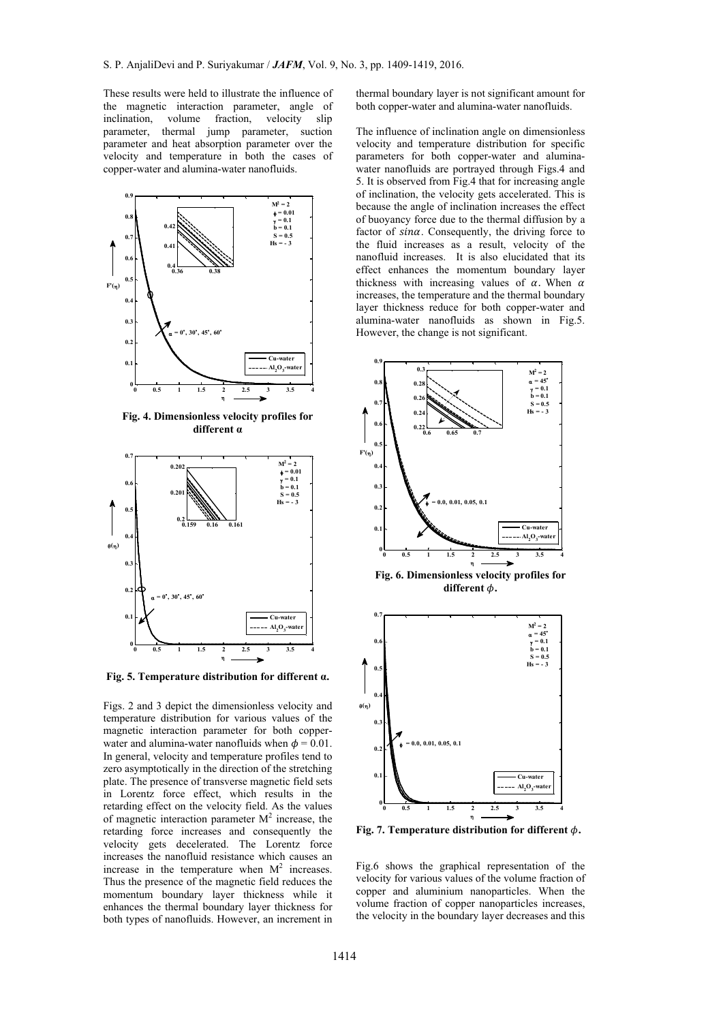These results were held to illustrate the influence of the magnetic interaction parameter, angle of inclination, volume fraction, velocity slip parameter, thermal jump parameter, suction parameter and heat absorption parameter over the velocity and temperature in both the cases of copper-water and alumina-water nanofluids.



**Fig. 4. Dimensionless velocity profiles for different α**



**Fig. 5. Temperature distribution for different α.** 

Figs. 2 and 3 depict the dimensionless velocity and temperature distribution for various values of the magnetic interaction parameter for both copperwater and alumina-water nanofluids when  $\phi = 0.01$ . In general, velocity and temperature profiles tend to zero asymptotically in the direction of the stretching plate. The presence of transverse magnetic field sets in Lorentz force effect, which results in the retarding effect on the velocity field. As the values of magnetic interaction parameter  $M^2$  increase, the retarding force increases and consequently the velocity gets decelerated. The Lorentz force increases the nanofluid resistance which causes an increase in the temperature when  $M^2$  increases. Thus the presence of the magnetic field reduces the momentum boundary layer thickness while it enhances the thermal boundary layer thickness for both types of nanofluids. However, an increment in

thermal boundary layer is not significant amount for both copper-water and alumina-water nanofluids.

The influence of inclination angle on dimensionless velocity and temperature distribution for specific parameters for both copper-water and aluminawater nanofluids are portrayed through Figs.4 and 5. It is observed from Fig.4 that for increasing angle of inclination, the velocity gets accelerated. This is because the angle of inclination increases the effect of buoyancy force due to the thermal diffusion by a factor of sina. Consequently, the driving force to the fluid increases as a result, velocity of the nanofluid increases. It is also elucidated that its effect enhances the momentum boundary layer thickness with increasing values of  $\alpha$ . When  $\alpha$ increases, the temperature and the thermal boundary layer thickness reduce for both copper-water and alumina-water nanofluids as shown in Fig.5. However, the change is not significant.



**Fig. 7. Temperature distribution for different**  $\phi$ **.** 

Fig.6 shows the graphical representation of the velocity for various values of the volume fraction of copper and aluminium nanoparticles. When the volume fraction of copper nanoparticles increases, the velocity in the boundary layer decreases and this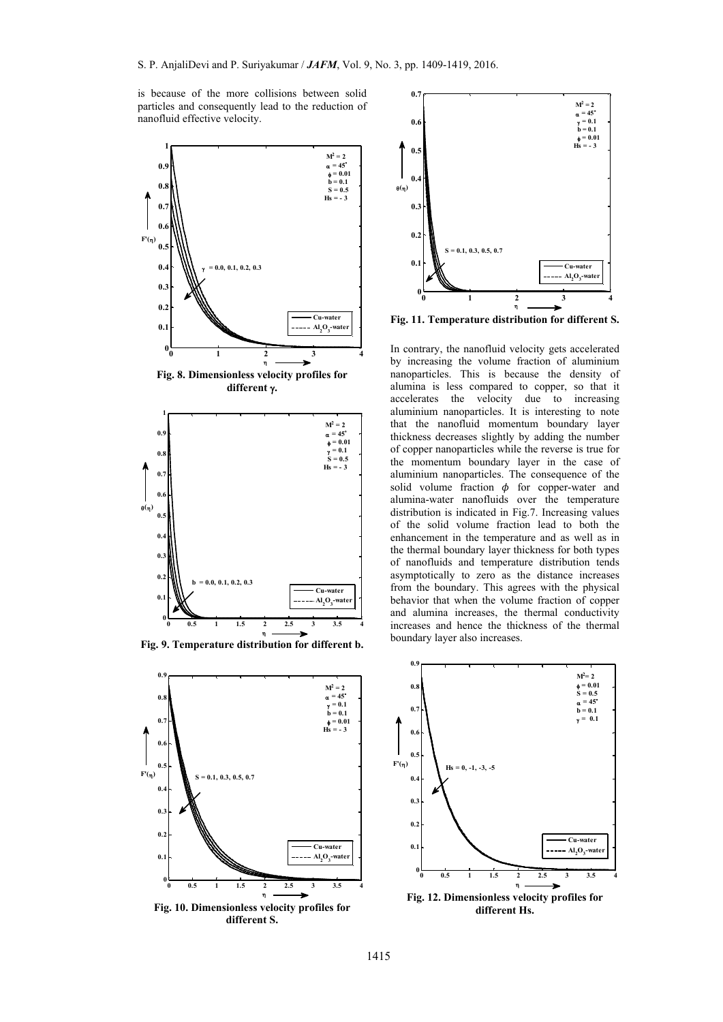is because of the more collisions between solid particles and consequently lead to the reduction of nanofluid effective velocity.



**Fig. 8. Dimensionless velocity profiles for different .** 



**Fig. 9. Temperature distribution for different b.** 



**Fig. 10. Dimensionless velocity profiles for different S.** 



**Fig. 11. Temperature distribution for different S.** 

In contrary, the nanofluid velocity gets accelerated by increasing the volume fraction of aluminium nanoparticles. This is because the density of alumina is less compared to copper, so that it accelerates the velocity due to increasing aluminium nanoparticles. It is interesting to note that the nanofluid momentum boundary layer thickness decreases slightly by adding the number of copper nanoparticles while the reverse is true for the momentum boundary layer in the case of aluminium nanoparticles. The consequence of the solid volume fraction  $\phi$  for copper-water and alumina-water nanofluids over the temperature distribution is indicated in Fig.7. Increasing values of the solid volume fraction lead to both the enhancement in the temperature and as well as in the thermal boundary layer thickness for both types of nanofluids and temperature distribution tends asymptotically to zero as the distance increases from the boundary. This agrees with the physical behavior that when the volume fraction of copper and alumina increases, the thermal conductivity increases and hence the thickness of the thermal boundary layer also increases.

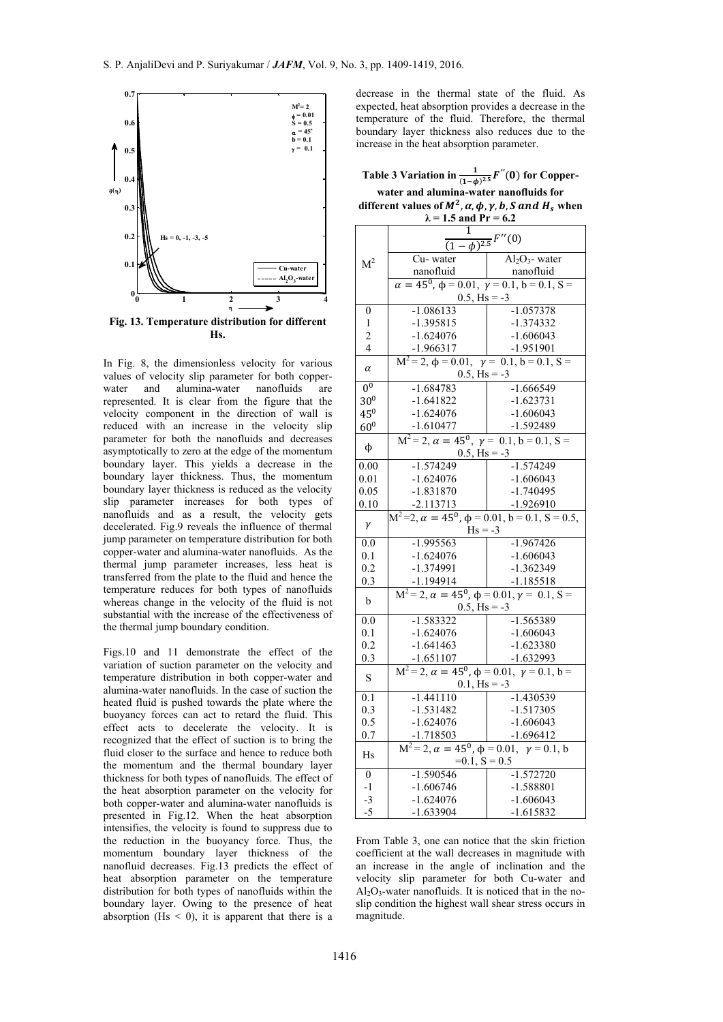

In Fig. 8, the dimensionless velocity for various values of velocity slip parameter for both copperwater and alumina-water nanofluids are represented. It is clear from the figure that the velocity component in the direction of wall is reduced with an increase in the velocity slip parameter for both the nanofluids and decreases asymptotically to zero at the edge of the momentum boundary layer. This yields a decrease in the boundary layer thickness. Thus, the momentum boundary layer thickness is reduced as the velocity slip parameter increases for both types of nanofluids and as a result, the velocity gets decelerated. Fig.9 reveals the influence of thermal jump parameter on temperature distribution for both copper-water and alumina-water nanofluids. As the thermal jump parameter increases, less heat is transferred from the plate to the fluid and hence the temperature reduces for both types of nanofluids whereas change in the velocity of the fluid is not substantial with the increase of the effectiveness of the thermal jump boundary condition.

Figs.10 and 11 demonstrate the effect of the variation of suction parameter on the velocity and temperature distribution in both copper-water and alumina-water nanofluids. In the case of suction the heated fluid is pushed towards the plate where the buoyancy forces can act to retard the fluid. This effect acts to decelerate the velocity. It is recognized that the effect of suction is to bring the fluid closer to the surface and hence to reduce both the momentum and the thermal boundary layer thickness for both types of nanofluids. The effect of the heat absorption parameter on the velocity for both copper-water and alumina-water nanofluids is presented in Fig.12. When the heat absorption intensifies, the velocity is found to suppress due to the reduction in the buoyancy force. Thus, the momentum boundary layer thickness of the nanofluid decreases. Fig.13 predicts the effect of heat absorption parameter on the temperature distribution for both types of nanofluids within the boundary layer. Owing to the presence of heat absorption ( $Hs < 0$ ), it is apparent that there is a

decrease in the thermal state of the fluid. As expected, heat absorption provides a decrease in the temperature of the fluid. Therefore, the thermal boundary layer thickness also reduces due to the increase in the heat absorption parameter.

Table 3 Variation in  $\frac{1}{(1-\phi)^{2.5}}F^{''}(0)$  for Copper**water and alumina-water nanofluids for different values of**  $M^2$ **,**  $\alpha$ **,**  $\phi$ **,**  $\gamma$ **,**  $b$ **,**  $S$  **and**  $H_s$  **when**  $\lambda = 1.5$  and  $\bar{p}_r = 6.2$ 

|                  | 1.3 and $11 - 0.2$                                                                                               |                              |  |
|------------------|------------------------------------------------------------------------------------------------------------------|------------------------------|--|
|                  | $\frac{(1-\phi)^{2.5}}{(1-\phi)^{2.5}}F''(0)$                                                                    |                              |  |
|                  | Cu-water                                                                                                         |                              |  |
| M <sup>2</sup>   |                                                                                                                  | $\overline{Al_2O_3}$ - water |  |
|                  |                                                                                                                  |                              |  |
|                  | cu- water<br>nanofluid<br>$\alpha = 45^0$ , $\phi = 0.01$ , $\gamma = 0.1$ , $b = 0.1$ , $S =$<br>$0.5, Hs = -3$ |                              |  |
| $\boldsymbol{0}$ | $-1.086133$                                                                                                      | $-1.057378$                  |  |
| 1                | $-1.395815$                                                                                                      | $-1.374332$                  |  |
| $\overline{c}$   | $-1.624076$                                                                                                      | $-1.606043$                  |  |
| $\overline{4}$   | $-1.966317$                                                                                                      | $-1.951901$                  |  |
|                  | $\frac{-1.966317}{M^2 = 2, \phi = 0.01, \gamma = 0.1, b = 0.1, S}$                                               |                              |  |
| $\alpha$         | $0.5,$ Hs = -3                                                                                                   |                              |  |
| 0 <sup>0</sup>   | $-1.684783$                                                                                                      | $-1.666549$                  |  |
| 30 <sup>0</sup>  | $-1.641822$                                                                                                      | $-1.623731$                  |  |
| $45^{0}$         | $-1.624076$                                                                                                      | $-1.606043$                  |  |
| 60 <sup>0</sup>  | $-1.610477$                                                                                                      | $-1.592489$                  |  |
|                  | $M^2 = 2$ , $\alpha = 45^0$ , $\gamma = 0.1$ , $b = 0.1$ , $S =$                                                 |                              |  |
| $\phi$           | $0.5,$ Hs = -3                                                                                                   |                              |  |
| 0.00             | $-1.574249$                                                                                                      | $-1.574249$                  |  |
| 0.01             | $-1.624076$                                                                                                      | $-1.606043$                  |  |
| 0.05             | $-1.831870$                                                                                                      | $-1.740495$                  |  |
| 0.10             | $-2.113713$                                                                                                      | $-1.926910$                  |  |
| $\gamma$         | $M^2=2$ , $\alpha = 45^0$ , $\phi = 0.01$ , $b = 0.1$ , $S = 0.5$ ,<br>$Hs = -3$                                 |                              |  |
| $\overline{0.0}$ | $-1.995563$                                                                                                      | $-1.967426$                  |  |
| 0.1              | $-1.624076$                                                                                                      | $-1.606043$                  |  |
| 0.2              | -1.374991                                                                                                        | $-1.362349$                  |  |
| 0.3              |                                                                                                                  |                              |  |
|                  | $\frac{-1.194914}{M^2 = 2, \alpha = 45^0, \phi = 0.01, \gamma = 0.1, S =$                                        |                              |  |
|                  | $\mathbf b$<br>$0.5$ , Hs = -3                                                                                   |                              |  |
| 0.0              | $-1.583322$                                                                                                      | $-1.565389$                  |  |
| 0.1              | $-1.624076$                                                                                                      | $-1.606043$                  |  |
| 0.2              | $-1.641463$                                                                                                      | $-1.623380$                  |  |
| 0.3              |                                                                                                                  |                              |  |
| S                | $\frac{-1.651107}{M^2 = 2, \alpha = 45^0, \phi = 0.01, \gamma = 0.1, b}$                                         |                              |  |
|                  | $0.1,$ Hs = -3                                                                                                   |                              |  |
| $\overline{0.1}$ | $-1.441110$                                                                                                      | $-1.430539$                  |  |
| 0.3              | $-1.531482$                                                                                                      | $-1.517305$                  |  |
| 0.5              | $-1.624076$                                                                                                      | $-1.606043$                  |  |
| 0.7              | $-1.718503$                                                                                                      | $-1.696412$                  |  |
| Hs               | $M^2 = 2$ , $\alpha = 45^0$ , $\phi = 0.01$ , $\gamma = 0.1$ , b<br>$=0.1, S = 0.5$                              |                              |  |
|                  |                                                                                                                  |                              |  |
| $\overline{0}$   | $-1.590546$                                                                                                      | $-1.572720$                  |  |
| $-1$             | $-1.606746$                                                                                                      | -1.588801                    |  |
| $-3$             | $-1.624076$                                                                                                      | $-1.606043$                  |  |
| $-5$             | $-1.633904$                                                                                                      | $-1.615832$                  |  |

From Table 3, one can notice that the skin friction coefficient at the wall decreases in magnitude with an increase in the angle of inclination and the velocity slip parameter for both Cu-water and  $Al_2O_3$ -water nanofluids. It is noticed that in the noslip condition the highest wall shear stress occurs in magnitude.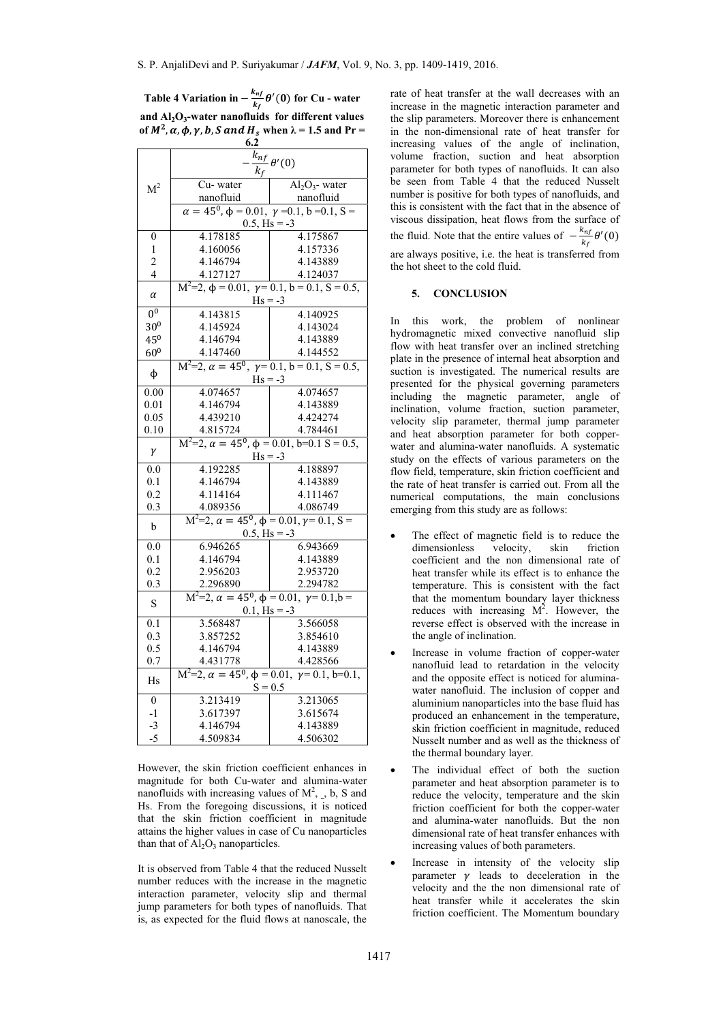Table 4 Variation in  $-\frac{k_{nf}}{k_f}\theta'(0)$  for Cu - water **and Al2O3-water nanofluids for different values of**  $M^2$ ,  $\alpha$ ,  $\phi$ ,  $\gamma$ ,  $\beta$ ,  $S$  and  $H_s$  when  $\lambda = 1.5$  and  $Pr =$ 

|                                                                                                                                 | 6.2                                                                                 |                                                              |  |  |
|---------------------------------------------------------------------------------------------------------------------------------|-------------------------------------------------------------------------------------|--------------------------------------------------------------|--|--|
|                                                                                                                                 | $\overline{k}_{nf}$ $\theta'(0)$<br>$k_f$                                           |                                                              |  |  |
| $\mathbf{M}^2$                                                                                                                  | Cu-water                                                                            | $\overline{Al}_2O_3$ - water                                 |  |  |
|                                                                                                                                 | nanofluid                                                                           | nanofluid                                                    |  |  |
|                                                                                                                                 | $\alpha = 45^{\circ}, \phi = 0.01, \gamma = 0.1, b = 0.1, S =$                      |                                                              |  |  |
|                                                                                                                                 |                                                                                     | $0.5,$ Hs = -3                                               |  |  |
| $\boldsymbol{0}$                                                                                                                | 4.178185                                                                            | 4.175867                                                     |  |  |
| 1                                                                                                                               | 4.160056                                                                            | 4.157336                                                     |  |  |
| $\overline{c}$                                                                                                                  | 4.146794                                                                            | 4.143889                                                     |  |  |
| 4                                                                                                                               | 4.127127                                                                            | 4.124037                                                     |  |  |
|                                                                                                                                 | $M^2=2$ , $\phi = 0.01$ , $\gamma = 0.1$ , $b = 0.1$ , $S = 0.5$ ,                  |                                                              |  |  |
| $\alpha$                                                                                                                        | $Hs = -3$                                                                           |                                                              |  |  |
| 0 <sup>0</sup>                                                                                                                  | 4.143815                                                                            | 4.140925                                                     |  |  |
| 30 <sup>0</sup>                                                                                                                 | 4.145924                                                                            | 4.143024                                                     |  |  |
| 45 <sup>0</sup>                                                                                                                 | 4.146794                                                                            | 4.143889                                                     |  |  |
| 60 <sup>0</sup>                                                                                                                 | 4.147460                                                                            | 4.144552                                                     |  |  |
|                                                                                                                                 | $M^2=2$ , $\alpha = 45^0$ , $\gamma = 0.1$ , $b = 0.1$ , $S = 0.5$ ,                |                                                              |  |  |
| φ                                                                                                                               | $Hs = -3$                                                                           |                                                              |  |  |
| 0.00                                                                                                                            | 4.074657                                                                            | 4.074657                                                     |  |  |
| 0.01                                                                                                                            | 4.146794                                                                            | 4.143889                                                     |  |  |
| 0.05                                                                                                                            | 4.439210                                                                            | 4.424274                                                     |  |  |
| 0.10                                                                                                                            | 4.815724                                                                            | 4.784461                                                     |  |  |
|                                                                                                                                 | $M^2=2$ , $\alpha = 45^0$ , $\phi = 0.01$ , $b=0.1$ S = 0.5,                        |                                                              |  |  |
| γ                                                                                                                               |                                                                                     | $Hs = -3$                                                    |  |  |
| 0.0                                                                                                                             | 4.192285                                                                            | 4.188897                                                     |  |  |
| 0.1                                                                                                                             | 4.146794                                                                            | 4.143889                                                     |  |  |
| 0.2                                                                                                                             | 4.114164                                                                            | 4.111467                                                     |  |  |
| 0.3                                                                                                                             | 4.089356                                                                            | 4.086749                                                     |  |  |
| $\mathbf b$                                                                                                                     |                                                                                     | $M^2=2, \ \alpha = 45^0, \ \phi = 0.01, \gamma = 0.1, \ S =$ |  |  |
| $0.5$ , Hs = -3                                                                                                                 |                                                                                     |                                                              |  |  |
| 0.0                                                                                                                             | 6.946265                                                                            | 6.943669                                                     |  |  |
| 0.1                                                                                                                             | 4.146794                                                                            | 4.143889                                                     |  |  |
| 0.2                                                                                                                             | 2.956203                                                                            | 2.953720                                                     |  |  |
| 0.3                                                                                                                             |                                                                                     |                                                              |  |  |
| 2.296890 2.294782<br>M <sup>2</sup> =2, $\alpha = 45^0$ , $\phi = 0.01$ , $\gamma = 0.1$ , $b =$<br>${\bf S}$<br>$0.1,$ Hs = -3 |                                                                                     |                                                              |  |  |
|                                                                                                                                 |                                                                                     |                                                              |  |  |
| $\overline{0.1}$                                                                                                                | 3.568487                                                                            | 3.566058                                                     |  |  |
| 0.3                                                                                                                             | 3.857252                                                                            | 3.854610                                                     |  |  |
| 0.5                                                                                                                             | 4.146794                                                                            | 4.143889                                                     |  |  |
| 0.7                                                                                                                             | 4.431778                                                                            | 4.428566                                                     |  |  |
| Hs                                                                                                                              | $M^2=2$ , $\alpha = 45^0$ , $\phi = 0.01$ , $\gamma = 0.1$ , $b=0.1$ ,<br>$S = 0.5$ |                                                              |  |  |
| $\boldsymbol{0}$                                                                                                                | 3.213419                                                                            | 3.213065                                                     |  |  |
| $-1$                                                                                                                            | 3.617397                                                                            | 3.615674                                                     |  |  |
| -3                                                                                                                              | 4.146794                                                                            | 4.143889                                                     |  |  |
| -5                                                                                                                              | 4.509834                                                                            | 4.506302                                                     |  |  |

However, the skin friction coefficient enhances in magnitude for both Cu-water and alumina-water nanofluids with increasing values of  $M^2$ , b, S and Hs. From the foregoing discussions, it is noticed that the skin friction coefficient in magnitude attains the higher values in case of Cu nanoparticles than that of  $Al_2O_3$  nanoparticles.

It is observed from Table 4 that the reduced Nusselt number reduces with the increase in the magnetic interaction parameter, velocity slip and thermal jump parameters for both types of nanofluids. That is, as expected for the fluid flows at nanoscale, the rate of heat transfer at the wall decreases with an increase in the magnetic interaction parameter and the slip parameters. Moreover there is enhancement in the non-dimensional rate of heat transfer for increasing values of the angle of inclination, volume fraction, suction and heat absorption parameter for both types of nanofluids. It can also be seen from Table 4 that the reduced Nusselt number is positive for both types of nanofluids, and this is consistent with the fact that in the absence of viscous dissipation, heat flows from the surface of the fluid. Note that the entire values of  $-\frac{k_{nf}}{k_f}\theta'(0)$ are always positive, i.e. the heat is transferred from the hot sheet to the cold fluid.

# **5. CONCLUSION**

In this work, the problem of nonlinear hydromagnetic mixed convective nanofluid slip flow with heat transfer over an inclined stretching plate in the presence of internal heat absorption and suction is investigated. The numerical results are presented for the physical governing parameters including the magnetic parameter, angle of inclination, volume fraction, suction parameter, velocity slip parameter, thermal jump parameter and heat absorption parameter for both copperwater and alumina-water nanofluids. A systematic study on the effects of various parameters on the flow field, temperature, skin friction coefficient and the rate of heat transfer is carried out. From all the numerical computations, the main conclusions emerging from this study are as follows:

- The effect of magnetic field is to reduce the dimensionless velocity, skin friction coefficient and the non dimensional rate of heat transfer while its effect is to enhance the temperature. This is consistent with the fact that the momentum boundary layer thickness reduces with increasing  $M^2$ . However, the reverse effect is observed with the increase in the angle of inclination.
- Increase in volume fraction of copper-water nanofluid lead to retardation in the velocity and the opposite effect is noticed for aluminawater nanofluid. The inclusion of copper and aluminium nanoparticles into the base fluid has produced an enhancement in the temperature, skin friction coefficient in magnitude, reduced Nusselt number and as well as the thickness of the thermal boundary layer.
- The individual effect of both the suction parameter and heat absorption parameter is to reduce the velocity, temperature and the skin friction coefficient for both the copper-water and alumina-water nanofluids. But the non dimensional rate of heat transfer enhances with increasing values of both parameters.
- Increase in intensity of the velocity slip parameter  $\gamma$  leads to deceleration in the velocity and the the non dimensional rate of heat transfer while it accelerates the skin friction coefficient. The Momentum boundary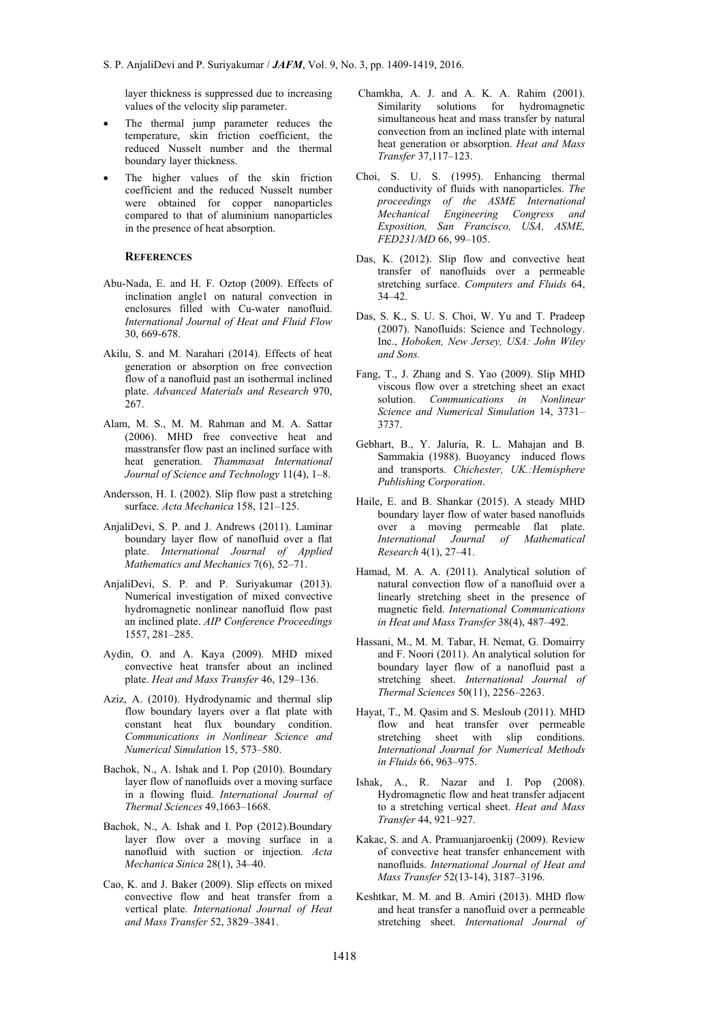layer thickness is suppressed due to increasing values of the velocity slip parameter.

- The thermal jump parameter reduces the temperature, skin friction coefficient, the reduced Nusselt number and the thermal boundary layer thickness.
- The higher values of the skin friction coefficient and the reduced Nusselt number were obtained for copper nanoparticles compared to that of aluminium nanoparticles in the presence of heat absorption.

## **REFERENCES**

- Abu-Nada, E. and H. F. Oztop (2009). Effects of inclination angle1 on natural convection in enclosures filled with Cu-water nanofluid. *International Journal of Heat and Fluid Flow* 30, 669-678.
- Akilu, S. and M. Narahari (2014). Effects of heat generation or absorption on free convection flow of a nanofluid past an isothermal inclined plate. *Advanced Materials and Research* 970, 267.
- Alam, M. S., M. M. Rahman and M. A. Sattar (2006). MHD free convective heat and masstransfer flow past an inclined surface with heat generation. *Thammasat International Journal of Science and Technology* 11(4), 1–8.
- Andersson, H. I. (2002). Slip flow past a stretching surface. *Acta Mechanica* 158, 121–125.
- AnjaliDevi, S. P. and J. Andrews (2011). Laminar boundary layer flow of nanofluid over a flat plate. *International Journal of Applied Mathematics and Mechanics* 7(6), 52–71.
- AnjaliDevi, S. P. and P. Suriyakumar (2013). Numerical investigation of mixed convective hydromagnetic nonlinear nanofluid flow past an inclined plate. *AIP Conference Proceedings* 1557, 281–285.
- Aydin, O. and A. Kaya (2009). MHD mixed convective heat transfer about an inclined plate. *Heat and Mass Transfer* 46, 129–136.
- Aziz, A. (2010). Hydrodynamic and thermal slip flow boundary layers over a flat plate with constant heat flux boundary condition. *Communications in Nonlinear Science and Numerical Simulation* 15, 573–580.
- Bachok, N., A. Ishak and I. Pop (2010). Boundary layer flow of nanofluids over a moving surface in a flowing fluid. *International Journal of Thermal Sciences* 49,1663–1668.
- Bachok, N., A. Ishak and I. Pop (2012).Boundary layer flow over a moving surface in a nanofluid with suction or injection. *Acta Mechanica Sinica* 28(1), 34–40.
- Cao, K. and J. Baker (2009). Slip effects on mixed convective flow and heat transfer from a vertical plate. *International Journal of Heat and Mass Transfer* 52, 3829–3841.
- Chamkha, A. J. and A. K. A. Rahim (2001). Similarity solutions for hydromagnetic simultaneous heat and mass transfer by natural convection from an inclined plate with internal heat generation or absorption. *Heat and Mass Transfer* 37,117–123.
- Choi, S. U. S. (1995). Enhancing thermal conductivity of fluids with nanoparticles. *The proceedings of the ASME International Mechanical Engineering Congress and Exposition, San Francisco, USA, ASME, FED231/MD* 66, 99–105.
- Das, K. (2012). Slip flow and convective heat transfer of nanofluids over a permeable stretching surface. *Computers and Fluids* 64, 34–42.
- Das, S. K., S. U. S. Choi, W. Yu and T. Pradeep (2007). Nanofluids: Science and Technology. Inc., *Hoboken, New Jersey, USA: John Wiley and Sons.*
- Fang, T., J. Zhang and S. Yao (2009). Slip MHD viscous flow over a stretching sheet an exact solution. *Communications in Nonlinear Science and Numerical Simulation* 14, 3731– 3737.
- Gebhart, B., Y. Jaluria, R. L. Mahajan and B. Sammakia (1988). Buoyancy induced flows and transports. *Chichester, UK.:Hemisphere Publishing Corporation*.
- Haile, E. and B. Shankar (2015). A steady MHD boundary layer flow of water based nanofluids over a moving permeable flat plate. *International Journal of Mathematical Research* 4(1), 27–41.
- Hamad, M. A. A. (2011). Analytical solution of natural convection flow of a nanofluid over a linearly stretching sheet in the presence of magnetic field. *International Communications in Heat and Mass Transfer* 38(4), 487–492.
- Hassani, M., M. M. Tabar, H. Nemat, G. Domairry and F. Noori (2011). An analytical solution for boundary layer flow of a nanofluid past a stretching sheet. *International Journal of Thermal Sciences* 50(11), 2256–2263.
- Hayat, T., M. Qasim and S. Mesloub (2011). MHD flow and heat transfer over permeable stretching sheet with slip conditions. *International Journal for Numerical Methods in Fluids* 66, 963–975.
- Ishak, A., R. Nazar and I. Pop (2008). Hydromagnetic flow and heat transfer adjacent to a stretching vertical sheet. *Heat and Mass Transfer* 44, 921–927.
- Kakac, S. and A. Pramuanjaroenkij (2009). Review of convective heat transfer enhancement with nanofluids. *International Journal of Heat and Mass Transfer* 52(13-14), 3187–3196.
- Keshtkar, M. M. and B. Amiri (2013). MHD flow and heat transfer a nanofluid over a permeable stretching sheet. *International Journal of*